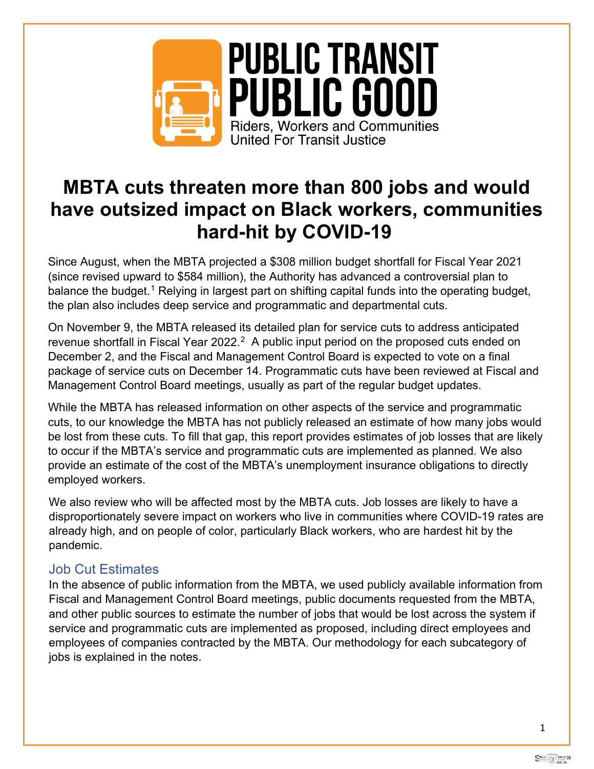

# **MBTA cuts threaten more than 800 jobs and would have outsized impact on Black workers, communities hard-hit by COVID-19**

Since August, when the MBTA projected a \$308 million budget shortfall for Fiscal Year 2021 (since revised upward to \$584 million), the Authority has advanced a controversial plan to balance the budget.<sup>[1](#page-4-0)</sup> Relying in largest part on shifting capital funds into the operating budget, the plan also includes deep service and programmatic and departmental cuts.

On November 9, the MBTA released its detailed plan for service cuts to address anticipated revenue shortfall in Fiscal Year 2022.<sup>2</sup> A public input period on the proposed cuts ended on December 2, and the Fiscal and Management Control Board is expected to vote on a final package of service cuts on December 14. Programmatic cuts have been reviewed at Fiscal and Management Control Board meetings, usually as part of the regular budget updates.

While the MBTA has released information on other aspects of the service and programmatic cuts, to our knowledge the MBTA has not publicly released an estimate of how many jobs would be lost from these cuts. To fill that gap, this report provides estimates of job losses that are likely to occur if the MBTA's service and programmatic cuts are implemented as planned. We also provide an estimate of the cost of the MBTA's unemployment insurance obligations to directly employed workers.

We also review who will be affected most by the MBTA cuts. Job losses are likely to have a disproportionately severe impact on workers who live in communities where COVID-19 rates are already high, and on people of color, particularly Black workers, who are hardest hit by the pandemic.

# Job Cut Estimates

In the absence of public information from the MBTA, we used publicly available information from Fiscal and Management Control Board meetings, public documents requested from the MBTA, and other public sources to estimate the number of jobs that would be lost across the system if service and programmatic cuts are implemented as proposed, including direct employees and employees of companies contracted by the MBTA. Our methodology for each subcategory of jobs is explained in the notes.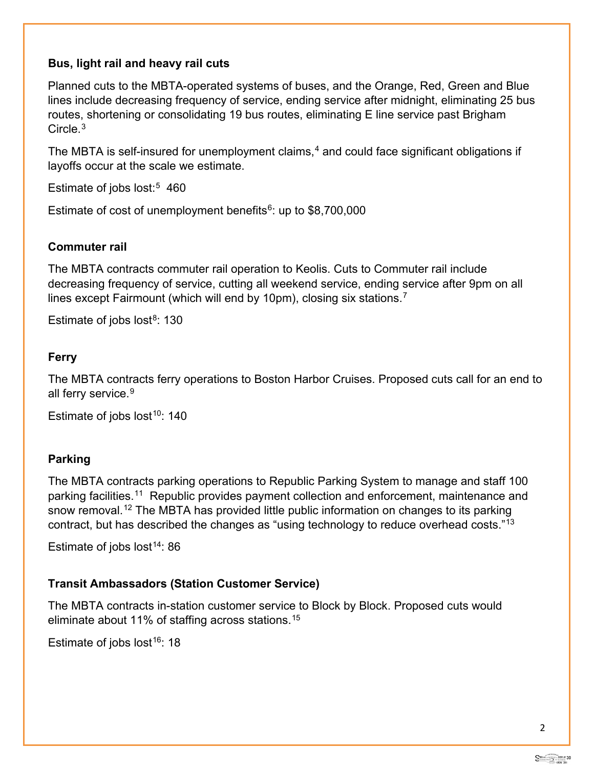## **Bus, light rail and heavy rail cuts**

Planned cuts to the MBTA-operated systems of buses, and the Orange, Red, Green and Blue lines include decreasing frequency of service, ending service after midnight, eliminating 25 bus routes, shortening or consolidating 19 bus routes, eliminating E line service past Brigham Circle.[3](#page-4-2)

The MBTA is self-insured for unemployment claims, $4$  and could face significant obligations if layoffs occur at the scale we estimate.

Estimate of jobs lost:<sup>[5](#page-4-4)</sup> 460

Estimate of cost of unemployment benefits $6$ : up to \$8,700,000

#### **Commuter rail**

The MBTA contracts commuter rail operation to Keolis. Cuts to Commuter rail include decreasing frequency of service, cutting all weekend service, ending service after 9pm on all lines except Fairmount (which will end by 10pm), closing six stations.[7](#page-4-6)

Estimate of jobs lost $8: 130$  $8: 130$ 

#### **Ferry**

The MBTA contracts ferry operations to Boston Harbor Cruises. Proposed cuts call for an end to all ferry service.<sup>[9](#page-4-8)</sup>

Estimate of jobs lost<sup>[10](#page-4-9)</sup>: 140

### **Parking**

The MBTA contracts parking operations to Republic Parking System to manage and staff 100 parking facilities.[11](#page-4-10) Republic provides payment collection and enforcement, maintenance and snow removal.<sup>[12](#page-4-11)</sup> The MBTA has provided little public information on changes to its parking contract, but has described the changes as "using technology to reduce overhead costs."[13](#page-5-0)

Estimate of jobs lost<sup>[14](#page-5-1)</sup>: 86

### **Transit Ambassadors (Station Customer Service)**

The MBTA contracts in-station customer service to Block by Block. Proposed cuts would eliminate about 11% of staffing across stations.[15](#page-5-2)

Estimate of jobs lost<sup>[16](#page-5-3)</sup>: 18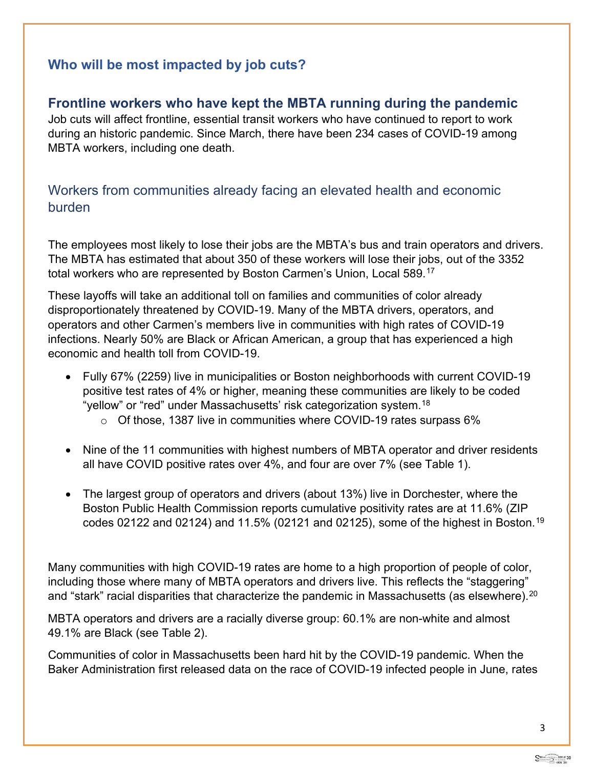## **Who will be most impacted by job cuts?**

## **Frontline workers who have kept the MBTA running during the pandemic**

Job cuts will affect frontline, essential transit workers who have continued to report to work during an historic pandemic. Since March, there have been 234 cases of COVID-19 among MBTA workers, including one death.

## Workers from communities already facing an elevated health and economic burden

The employees most likely to lose their jobs are the MBTA's bus and train operators and drivers. The MBTA has estimated that about 350 of these workers will lose their jobs, out of the 3352 total workers who are represented by Boston Carmen's Union, Local 589. [17](#page-5-4)

These layoffs will take an additional toll on families and communities of color already disproportionately threatened by COVID-19. Many of the MBTA drivers, operators, and operators and other Carmen's members live in communities with high rates of COVID-19 infections. Nearly 50% are Black or African American, a group that has experienced a high economic and health toll from COVID-19.

- Fully 67% (2259) live in municipalities or Boston neighborhoods with current COVID-19 positive test rates of 4% or higher, meaning these communities are likely to be coded "yellow" or "red" under Massachusetts' risk categorization system.<sup>[18](#page-5-5)</sup>  $\circ$  Of those, 1387 live in communities where COVID-19 rates surpass 6%
	-
- Nine of the 11 communities with highest numbers of MBTA operator and driver residents all have COVID positive rates over 4%, and four are over 7% (see Table 1).
- The largest group of operators and drivers (about 13%) live in Dorchester, where the Boston Public Health Commission reports cumulative positivity rates are at 11.6% (ZIP codes 02122 and 02124) and 11.5% (02121 and 02125), some of the highest in Boston.<sup>[19](#page-5-6)</sup>

Many communities with high COVID-19 rates are home to a high proportion of people of color, including those where many of MBTA operators and drivers live. This reflects the "staggering" and "stark" racial disparities that characterize the pandemic in Massachusetts (as elsewhere).<sup>[20](#page-5-7)</sup>

MBTA operators and drivers are a racially diverse group: 60.1% are non-white and almost 49.1% are Black (see Table 2).

Communities of color in Massachusetts been hard hit by the COVID-19 pandemic. When the Baker Administration first released data on the race of COVID-19 infected people in June, rates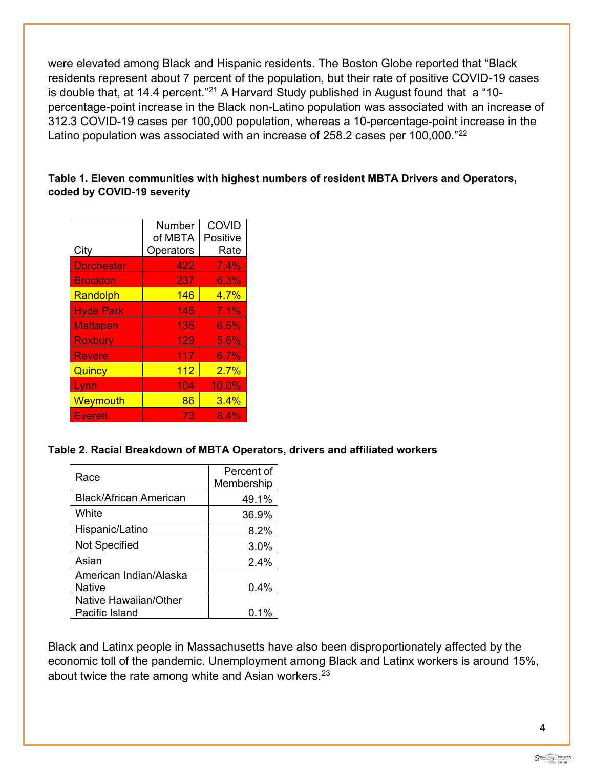were elevated among Black and Hispanic residents. The Boston Globe reported that "Black residents represent about 7 percent of the population, but their rate of positive COVID-19 cases is double that, at 14.4 percent."[21](#page-5-8) A Harvard Study published in August found that a "10 percentage-point increase in the Black non-Latino population was associated with an increase of 312.3 COVID-19 cases per 100,000 population, whereas a 10-percentage-point increase in the Latino population was associated with an increase of 258.2 cases per 100,000."<sup>[22](#page-5-9)</sup>

#### **Table 1. Eleven communities with highest numbers of resident MBTA Drivers and Operators, coded by COVID-19 severity**

|                   | Number    | <b>COVID</b> |
|-------------------|-----------|--------------|
|                   | of MBTA   | Positive     |
| City              | Operators | Rate         |
| <b>Dorchester</b> | 422       | 7.4%         |
| <b>Brockton</b>   | 237       | 6.3%         |
| Randolph          | 146       | 4.7%         |
| <b>Hyde Park</b>  | 145       | 7.1%         |
| <b>Mattapan</b>   | 135       | 6.5%         |
| <b>Roxbury</b>    | 129       | 5.6%         |
| <b>Revere</b>     | 117       | 6.7%         |
| Quincy            | 112       | 2.7%         |
| Lynn              | 104       | 10.0%        |
| Weymouth          | 86        | 3.4%         |
| <b>Everett</b>    | 73        | 8.4%         |

#### **Table 2. Racial Breakdown of MBTA Operators, drivers and affiliated workers**

| Race                   | Percent of<br>Membership |
|------------------------|--------------------------|
| Black/African American | 49.1%                    |
| White                  | 36.9%                    |
| Hispanic/Latino        | 8.2%                     |
| <b>Not Specified</b>   | 3.0%                     |
| Asian                  | 2.4%                     |
| American Indian/Alaska |                          |
| Native                 | $0.4\%$                  |
| Native Hawaiian/Other  |                          |
| Pacific Island         | $0.1\%$                  |

Black and Latinx people in Massachusetts have also been disproportionately affected by the economic toll of the pandemic. Unemployment among Black and Latinx workers is around 15%, about twice the rate among white and Asian workers. $23$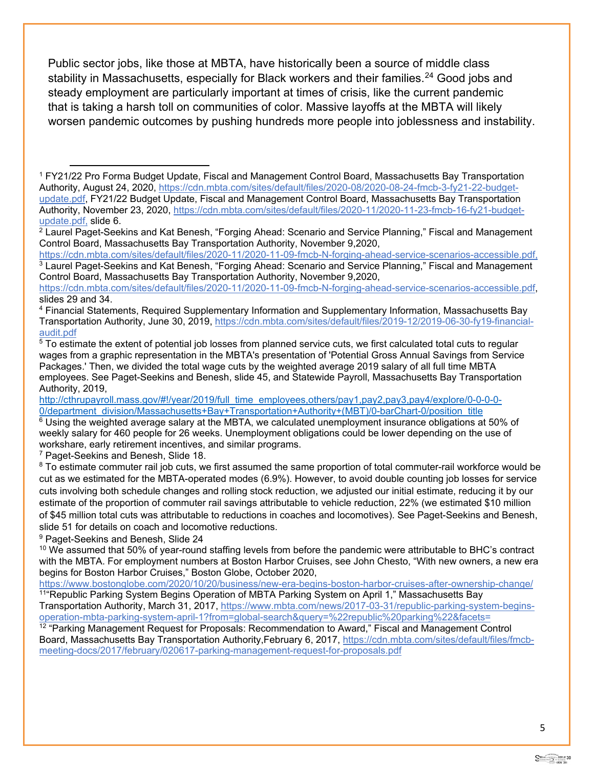Public sector jobs, like those at MBTA, have historically been a source of middle class stability in Massachusetts, especially for Black workers and their families.<sup>[24](#page-5-11)</sup> Good jobs and steady employment are particularly important at times of crisis, like the current pandemic that is taking a harsh toll on communities of color. Massive layoffs at the MBTA will likely worsen pandemic outcomes by pushing hundreds more people into joblessness and instability.

Control Board, Massachusetts Bay Transportation Authority, November 9,2020,

[http://cthrupayroll.mass.gov/#!/year/2019/full\\_time\\_employees,others/pay1,pay2,pay3,pay4/explore/0-0-0-0-](http://cthrupayroll.mass.gov/#!/year/2019/full_time_employees,others/pay1,pay2,pay3,pay4/explore/0-0-0-0-0/department_division/Massachusetts+Bay+Transportation+Authority+(MBT)/0-barChart-0/position_title) [0/department\\_division/Massachusetts+Bay+Transportation+Authority+\(MBT\)/0-barChart-0/position\\_title](http://cthrupayroll.mass.gov/#!/year/2019/full_time_employees,others/pay1,pay2,pay3,pay4/explore/0-0-0-0-0/department_division/Massachusetts+Bay+Transportation+Authority+(MBT)/0-barChart-0/position_title)

<span id="page-4-5"></span> $6$  Using the weighted average salary at the MBTA, we calculated unemployment insurance obligations at 50% of weekly salary for 460 people for 26 weeks. Unemployment obligations could be lower depending on the use of workshare, early retirement incentives, and similar programs.

<span id="page-4-6"></span><sup>7</sup> Paget-Seekins and Benesh, Slide 18.

<span id="page-4-7"></span> $8$  To estimate commuter rail job cuts, we first assumed the same proportion of total commuter-rail workforce would be cut as we estimated for the MBTA-operated modes (6.9%). However, to avoid double counting job losses for service cuts involving both schedule changes and rolling stock reduction, we adjusted our initial estimate, reducing it by our estimate of the proportion of commuter rail savings attributable to vehicle reduction, 22% (we estimated \$10 million of \$45 million total cuts was attributable to reductions in coaches and locomotives). See Paget-Seekins and Benesh, slide 51 for details on coach and locomotive reductions.

<span id="page-4-8"></span><sup>9</sup> Paget-Seekins and Benesh, Slide 24

<span id="page-4-9"></span> $10$  We assumed that 50% of year-round staffing levels from before the pandemic were attributable to BHC's contract with the MBTA. For employment numbers at Boston Harbor Cruises, see John Chesto, "With new owners, a new era begins for Boston Harbor Cruises," Boston Globe, October 2020,<br>https://www.bostonglobe.com/2020/10/20/business/new-era-begins-boston-harbor-cruises-after-ownership-change/

<span id="page-4-10"></span><sup>11</sup> Republic Parking System Begins Operation of MBTA Parking System on April 1," Massachusetts Bay

Transportation Authority, March 31, 2017, https://www.mbta.com/news/2017-03-31/republic-parking-system-beginsoperation-mbta-parking-system-april-1?from=global-search&query=%22republic%20parking%22&facets=

<span id="page-4-11"></span><sup>12</sup> "Parking Management Request for Proposals: Recommendation to Award," Fiscal and Management Control Board, Massachusetts Bay Transportation Authority,February 6, 2017, https://cdn.mbta.com/sites/default/files/fmcbmeeting-docs/2017/february/020617-parking-management-request-for-proposals.pdf

<span id="page-4-0"></span><sup>1</sup> FY21/22 Pro Forma Budget Update, Fiscal and Management Control Board, Massachusetts Bay Transportation Authority, August 24, 2020, [https://cdn.mbta.com/sites/default/files/2020-08/2020-08-24-fmcb-3-fy21-22-budget](https://cdn.mbta.com/sites/default/files/2020-08/2020-08-24-fmcb-3-fy21-22-budget-update.pdf)[update.pdf,](https://cdn.mbta.com/sites/default/files/2020-08/2020-08-24-fmcb-3-fy21-22-budget-update.pdf) FY21/22 Budget Update, Fiscal and Management Control Board, Massachusetts Bay Transportation Authority, November 23, 2020, https://cdn.mbta.com/sites/default/files/2020-11/2020-11-23-fmcb-16-fy21-budgetupdate.pdf, slide 6.

<span id="page-4-1"></span><sup>&</sup>lt;sup>2</sup> Laurel Paget-Seekins and Kat Benesh, "Forging Ahead: Scenario and Service Planning," Fiscal and Management Control Board, Massachusetts Bay Transportation Authority, November 9,2020,

<span id="page-4-2"></span>[https://cdn.mbta.com/sites/default/files/2020-11/2020-11-09-fmcb-N-forging-ahead-service-scenarios-accessible.pdf,](https://cdn.mbta.com/sites/default/files/2020-11/2020-11-09-fmcb-N-forging-ahead-service-scenarios-accessible.pdf) <sup>3</sup> Laurel Paget-Seekins and Kat Benesh, "Forging Ahead: Scenario and Service Planning," Fiscal and Management

[https://cdn.mbta.com/sites/default/files/2020-11/2020-11-09-fmcb-N-forging-ahead-service-scenarios-accessible.pdf,](https://cdn.mbta.com/sites/default/files/2020-11/2020-11-09-fmcb-N-forging-ahead-service-scenarios-accessible.pdf) slides 29 and 34.

<span id="page-4-3"></span><sup>4</sup> Financial Statements, Required Supplementary Information and Supplementary Information, Massachusetts Bay Transportation Authority, June 30, 2019, https://cdn.mbta.com/sites/default/files/2019-12/2019-06-30-fy19-financialaudit.pdf

<span id="page-4-4"></span> $^5$  To estimate the extent of potential job losses from planned service cuts, we first calculated total cuts to regular wages from a graphic representation in the MBTA's presentation of 'Potential Gross Annual Savings from Service Packages.' Then, we divided the total wage cuts by the weighted average 2019 salary of all full time MBTA employees. See Paget-Seekins and Benesh, slide 45, and Statewide Payroll, Massachusetts Bay Transportation Authority, 2019,